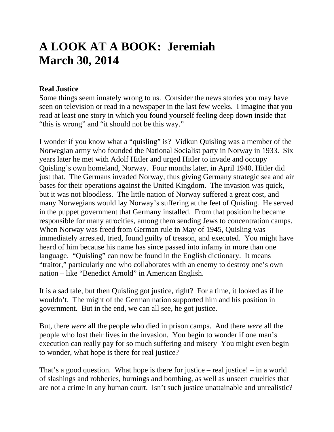# **A LOOK AT A BOOK: Jeremiah March 30, 2014**

## **Real Justice**

Some things seem innately wrong to us. Consider the news stories you may have seen on television or read in a newspaper in the last few weeks. I imagine that you read at least one story in which you found yourself feeling deep down inside that "this is wrong" and "it should not be this way."

I wonder if you know what a "quisling" is? Vidkun Quisling was a member of the Norwegian army who founded the National Socialist party in Norway in 1933. Six years later he met with Adolf Hitler and urged Hitler to invade and occupy Quisling's own homeland, Norway. Four months later, in April 1940, Hitler did just that. The Germans invaded Norway, thus giving Germany strategic sea and air bases for their operations against the United Kingdom. The invasion was quick, but it was not bloodless. The little nation of Norway suffered a great cost, and many Norwegians would lay Norway's suffering at the feet of Quisling. He served in the puppet government that Germany installed. From that position he became responsible for many atrocities, among them sending Jews to concentration camps. When Norway was freed from German rule in May of 1945, Quisling was immediately arrested, tried, found guilty of treason, and executed. You might have heard of him because his name has since passed into infamy in more than one language. "Quisling" can now be found in the English dictionary. It means "traitor," particularly one who collaborates with an enemy to destroy one's own nation – like "Benedict Arnold" in American English.

It is a sad tale, but then Quisling got justice, right? For a time, it looked as if he wouldn't. The might of the German nation supported him and his position in government. But in the end, we can all see, he got justice.

But, there *were* all the people who died in prison camps. And there *were* all the people who lost their lives in the invasion. You begin to wonder if one man's execution can really pay for so much suffering and misery You might even begin to wonder, what hope is there for real justice?

That's a good question. What hope is there for justice – real justice! – in a world of slashings and robberies, burnings and bombing, as well as unseen cruelties that are not a crime in any human court. Isn't such justice unattainable and unrealistic?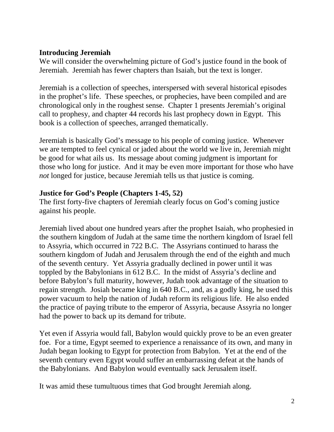### **Introducing Jeremiah**

We will consider the overwhelming picture of God's justice found in the book of Jeremiah. Jeremiah has fewer chapters than Isaiah, but the text is longer.

Jeremiah is a collection of speeches, interspersed with several historical episodes in the prophet's life. These speeches, or prophecies, have been compiled and are chronological only in the roughest sense. Chapter 1 presents Jeremiah's original call to prophesy, and chapter 44 records his last prophecy down in Egypt. This book is a collection of speeches, arranged thematically.

Jeremiah is basically God's message to his people of coming justice. Whenever we are tempted to feel cynical or jaded about the world we live in, Jeremiah might be good for what ails us. Its message about coming judgment is important for those who long for justice. And it may be even more important for those who have *not* longed for justice, because Jeremiah tells us that justice is coming.

## **Justice for God's People (Chapters 1-45, 52)**

The first forty-five chapters of Jeremiah clearly focus on God's coming justice against his people.

Jeremiah lived about one hundred years after the prophet Isaiah, who prophesied in the southern kingdom of Judah at the same time the northern kingdom of Israel fell to Assyria, which occurred in 722 B.C. The Assyrians continued to harass the southern kingdom of Judah and Jerusalem through the end of the eighth and much of the seventh century. Yet Assyria gradually declined in power until it was toppled by the Babylonians in 612 B.C. In the midst of Assyria's decline and before Babylon's full maturity, however, Judah took advantage of the situation to regain strength. Josiah became king in 640 B.C., and, as a godly king, he used this power vacuum to help the nation of Judah reform its religious life. He also ended the practice of paying tribute to the emperor of Assyria, because Assyria no longer had the power to back up its demand for tribute.

Yet even if Assyria would fall, Babylon would quickly prove to be an even greater foe. For a time, Egypt seemed to experience a renaissance of its own, and many in Judah began looking to Egypt for protection from Babylon. Yet at the end of the seventh century even Egypt would suffer an embarrassing defeat at the hands of the Babylonians. And Babylon would eventually sack Jerusalem itself.

It was amid these tumultuous times that God brought Jeremiah along.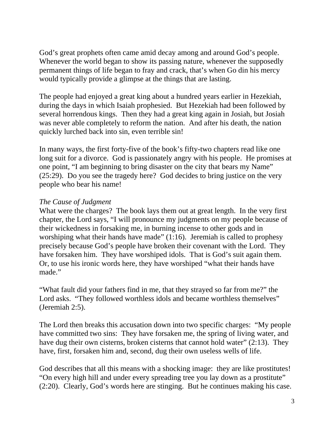God's great prophets often came amid decay among and around God's people. Whenever the world began to show its passing nature, whenever the supposedly permanent things of life began to fray and crack, that's when Go din his mercy would typically provide a glimpse at the things that are lasting.

The people had enjoyed a great king about a hundred years earlier in Hezekiah, during the days in which Isaiah prophesied. But Hezekiah had been followed by several horrendous kings. Then they had a great king again in Josiah, but Josiah was never able completely to reform the nation. And after his death, the nation quickly lurched back into sin, even terrible sin!

In many ways, the first forty-five of the book's fifty-two chapters read like one long suit for a divorce. God is passionately angry with his people. He promises at one point, "I am beginning to bring disaster on the city that bears my Name" (25:29). Do you see the tragedy here? God decides to bring justice on the very people who bear his name!

#### *The Cause of Judgment*

What were the charges? The book lays them out at great length. In the very first chapter, the Lord says, "I will pronounce my judgments on my people because of their wickedness in forsaking me, in burning incense to other gods and in worshiping what their hands have made" (1:16). Jeremiah is called to prophesy precisely because God's people have broken their covenant with the Lord. They have forsaken him. They have worshiped idols. That is God's suit again them. Or, to use his ironic words here, they have worshiped "what their hands have made."

"What fault did your fathers find in me, that they strayed so far from me?" the Lord asks. "They followed worthless idols and became worthless themselves" (Jeremiah 2:5).

The Lord then breaks this accusation down into two specific charges: "My people have committed two sins: They have forsaken me, the spring of living water, and have dug their own cisterns, broken cisterns that cannot hold water" (2:13). They have, first, forsaken him and, second, dug their own useless wells of life.

God describes that all this means with a shocking image: they are like prostitutes! "On every high hill and under every spreading tree you lay down as a prostitute" (2:20). Clearly, God's words here are stinging. But he continues making his case.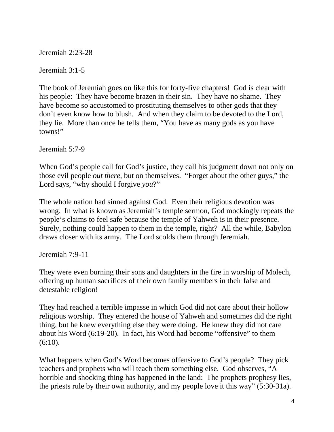Jeremiah 2:23-28

Jeremiah 3:1-5

The book of Jeremiah goes on like this for forty-five chapters! God is clear with his people: They have become brazen in their sin. They have no shame. They have become so accustomed to prostituting themselves to other gods that they don't even know how to blush. And when they claim to be devoted to the Lord, they lie. More than once he tells them, "You have as many gods as you have towns!"

Jeremiah 5:7-9

When God's people call for God's justice, they call his judgment down not only on those evil people *out there*, but on themselves. "Forget about the other guys," the Lord says, "why should I forgive *you*?"

The whole nation had sinned against God. Even their religious devotion was wrong. In what is known as Jeremiah's temple sermon, God mockingly repeats the people's claims to feel safe because the temple of Yahweh is in their presence. Surely, nothing could happen to them in the temple, right? All the while, Babylon draws closer with its army. The Lord scolds them through Jeremiah.

Jeremiah 7:9-11

They were even burning their sons and daughters in the fire in worship of Molech, offering up human sacrifices of their own family members in their false and detestable religion!

They had reached a terrible impasse in which God did not care about their hollow religious worship. They entered the house of Yahweh and sometimes did the right thing, but he knew everything else they were doing. He knew they did not care about his Word (6:19-20). In fact, his Word had become "offensive" to them (6:10).

What happens when God's Word becomes offensive to God's people? They pick teachers and prophets who will teach them something else. God observes, "A horrible and shocking thing has happened in the land: The prophets prophesy lies, the priests rule by their own authority, and my people love it this way" (5:30-31a).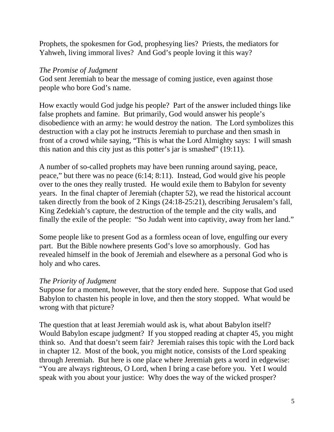Prophets, the spokesmen for God, prophesying lies? Priests, the mediators for Yahweh, living immoral lives? And God's people loving it this way?

#### *The Promise of Judgment*

God sent Jeremiah to bear the message of coming justice, even against those people who bore God's name.

How exactly would God judge his people? Part of the answer included things like false prophets and famine. But primarily, God would answer his people's disobedience with an army: he would destroy the nation. The Lord symbolizes this destruction with a clay pot he instructs Jeremiah to purchase and then smash in front of a crowd while saying, "This is what the Lord Almighty says: I will smash this nation and this city just as this potter's jar is smashed" (19:11).

A number of so-called prophets may have been running around saying, peace, peace," but there was no peace (6:14; 8:11). Instead, God would give his people over to the ones they really trusted. He would exile them to Babylon for seventy years. In the final chapter of Jeremiah (chapter 52), we read the historical account taken directly from the book of 2 Kings (24:18-25:21), describing Jerusalem's fall, King Zedekiah's capture, the destruction of the temple and the city walls, and finally the exile of the people: "So Judah went into captivity, away from her land."

Some people like to present God as a formless ocean of love, engulfing our every part. But the Bible nowhere presents God's love so amorphously. God has revealed himself in the book of Jeremiah and elsewhere as a personal God who is holy and who cares.

#### *The Priority of Judgment*

Suppose for a moment, however, that the story ended here. Suppose that God used Babylon to chasten his people in love, and then the story stopped. What would be wrong with that picture?

The question that at least Jeremiah would ask is, what about Babylon itself? Would Babylon escape judgment? If you stopped reading at chapter 45, you might think so. And that doesn't seem fair? Jeremiah raises this topic with the Lord back in chapter 12. Most of the book, you might notice, consists of the Lord speaking through Jeremiah. But here is one place where Jeremiah gets a word in edgewise: "You are always righteous, O Lord, when I bring a case before you. Yet I would speak with you about your justice: Why does the way of the wicked prosper?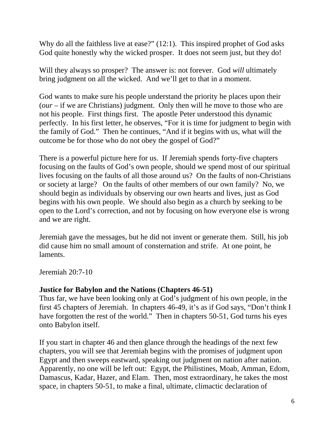Why do all the faithless live at ease?" (12:1). This inspired prophet of God asks God quite honestly why the wicked prosper. It does not seem just, but they do!

Will they always so prosper? The answer is: not forever. God *will* ultimately bring judgment on all the wicked. And we'll get to that in a moment.

God wants to make sure his people understand the priority he places upon their (*our* – if we are Christians) judgment. Only then will he move to those who are not his people. First things first. The apostle Peter understood this dynamic perfectly. In his first letter, he observes, "For it is time for judgment to begin with the family of God." Then he continues, "And if it begins with us, what will the outcome be for those who do not obey the gospel of God?"

There is a powerful picture here for us. If Jeremiah spends forty-five chapters focusing on the faults of God's own people, should we spend most of our spiritual lives focusing on the faults of all those around us? On the faults of non-Christians or society at large? On the faults of other members of our own family? No, we should begin as individuals by observing our own hearts and lives, just as God begins with his own people. We should also begin as a church by seeking to be open to the Lord's correction, and not by focusing on how everyone else is wrong and we are right.

Jeremiah gave the messages, but he did not invent or generate them. Still, his job did cause him no small amount of consternation and strife. At one point, he laments.

Jeremiah 20:7-10

#### **Justice for Babylon and the Nations (Chapters 46-51)**

Thus far, we have been looking only at God's judgment of his own people, in the first 45 chapters of Jeremiah. In chapters 46-49, it's as if God says, "Don't think I have forgotten the rest of the world." Then in chapters 50-51, God turns his eyes onto Babylon itself.

If you start in chapter 46 and then glance through the headings of the next few chapters, you will see that Jeremiah begins with the promises of judgment upon Egypt and then sweeps eastward, speaking out judgment on nation after nation. Apparently, no one will be left out: Egypt, the Philistines, Moab, Amman, Edom, Damascus, Kadar, Hazer, and Elam. Then, most extraordinary, he takes the most space, in chapters 50-51, to make a final, ultimate, climactic declaration of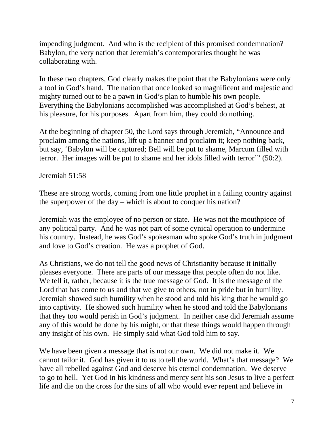impending judgment. And who is the recipient of this promised condemnation? Babylon, the very nation that Jeremiah's contemporaries thought he was collaborating with.

In these two chapters, God clearly makes the point that the Babylonians were only a tool in God's hand. The nation that once looked so magnificent and majestic and mighty turned out to be a pawn in God's plan to humble his own people. Everything the Babylonians accomplished was accomplished at God's behest, at his pleasure, for his purposes. Apart from him, they could do nothing.

At the beginning of chapter 50, the Lord says through Jeremiah, "Announce and proclaim among the nations, lift up a banner and proclaim it; keep nothing back, but say, 'Babylon will be captured; Bell will be put to shame, Marcum filled with terror. Her images will be put to shame and her idols filled with terror'" (50:2).

Jeremiah 51:58

These are strong words, coming from one little prophet in a failing country against the superpower of the day – which is about to conquer his nation?

Jeremiah was the employee of no person or state. He was not the mouthpiece of any political party. And he was not part of some cynical operation to undermine his country. Instead, he was God's spokesman who spoke God's truth in judgment and love to God's creation. He was a prophet of God.

As Christians, we do not tell the good news of Christianity because it initially pleases everyone. There are parts of our message that people often do not like. We tell it, rather, because it is the true message of God. It is the message of the Lord that has come to us and that we give to others, not in pride but in humility. Jeremiah showed such humility when he stood and told his king that he would go into captivity. He showed such humility when he stood and told the Babylonians that they too would perish in God's judgment. In neither case did Jeremiah assume any of this would be done by his might, or that these things would happen through any insight of his own. He simply said what God told him to say.

We have been given a message that is not our own. We did not make it. We cannot tailor it. God has given it to us to tell the world. What's that message? We have all rebelled against God and deserve his eternal condemnation. We deserve to go to hell. Yet God in his kindness and mercy sent his son Jesus to live a perfect life and die on the cross for the sins of all who would ever repent and believe in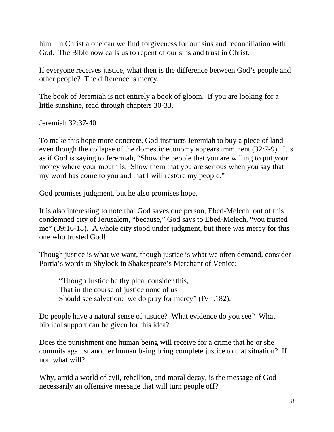him. In Christ alone can we find forgiveness for our sins and reconciliation with God. The Bible now calls us to repent of our sins and trust in Christ.

If everyone receives justice, what then is the difference between God's people and other people? The difference is mercy.

The book of Jeremiah is not entirely a book of gloom. If you are looking for a little sunshine, read through chapters 30-33.

Jeremiah 32:37-40

To make this hope more concrete, God instructs Jeremiah to buy a piece of land even though the collapse of the domestic economy appears imminent (32:7-9). It's as if God is saying to Jeremiah, "Show the people that you are willing to put your money where your mouth is. Show them that you are serious when you say that my word has come to you and that I will restore my people."

God promises judgment, but he also promises hope.

It is also interesting to note that God saves one person, Ebed-Melech, out of this condemned city of Jerusalem, "because," God says to Ebed-Melech, "you trusted me" (39:16-18). A whole city stood under judgment, but there was mercy for this one who trusted God!

Though justice is what we want, though justice is what we often demand, consider Portia's words to Shylock in Shakespeare's Merchant of Venice:

 "Though Justice be thy plea, consider this, That in the course of justice none of us Should see salvation: we do pray for mercy" (IV.i.182).

Do people have a natural sense of justice? What evidence do you see? What biblical support can be given for this idea?

Does the punishment one human being will receive for a crime that he or she commits against another human being bring complete justice to that situation? If not, what will?

Why, amid a world of evil, rebellion, and moral decay, is the message of God necessarily an offensive message that will turn people off?